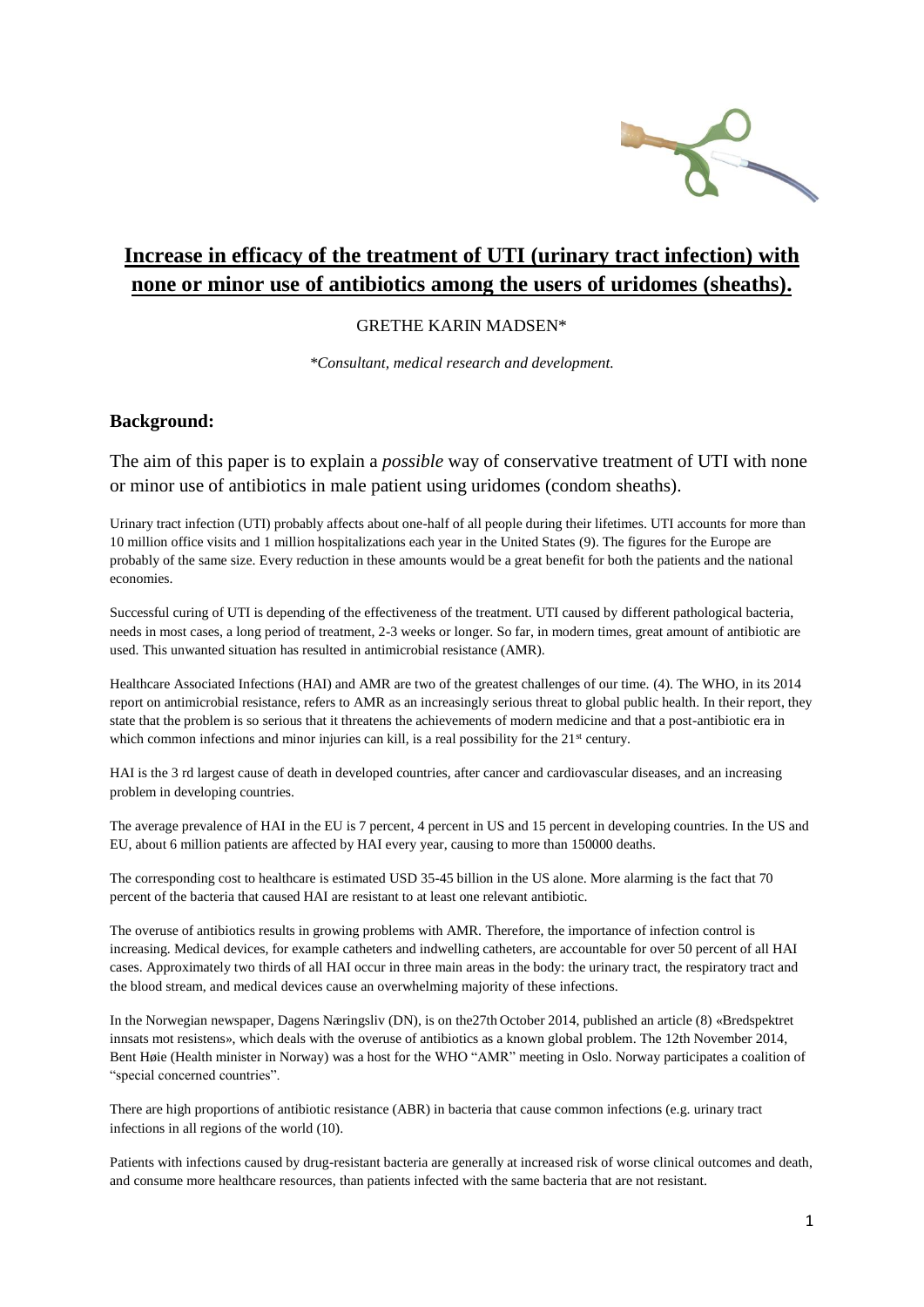

# **Increase in efficacy of the treatment of UTI (urinary tract infection) with none or minor use of antibiotics among the users of uridomes (sheaths).**

#### GRETHE KARIN MADSEN\*

*\*Consultant, medical research and development.*

#### **Background:**

The aim of this paper is to explain a *possible* way of conservative treatment of UTI with none or minor use of antibiotics in male patient using uridomes (condom sheaths).

Urinary tract infection (UTI) probably affects about one-half of all people during their lifetimes. UTI accounts for more than 10 million office visits and 1 million hospitalizations each year in the United States (9). The figures for the Europe are probably of the same size. Every reduction in these amounts would be a great benefit for both the patients and the national economies.

Successful curing of UTI is depending of the effectiveness of the treatment. UTI caused by different pathological bacteria, needs in most cases, a long period of treatment, 2-3 weeks or longer. So far, in modern times, great amount of antibiotic are used. This unwanted situation has resulted in antimicrobial resistance (AMR).

Healthcare Associated Infections (HAI) and AMR are two of the greatest challenges of our time. (4). The WHO, in its 2014 report on antimicrobial resistance, refers to AMR as an increasingly serious threat to global public health. In their report, they state that the problem is so serious that it threatens the achievements of modern medicine and that a post-antibiotic era in which common infections and minor injuries can kill, is a real possibility for the  $21<sup>st</sup>$  century.

HAI is the 3 rd largest cause of death in developed countries, after cancer and cardiovascular diseases, and an increasing problem in developing countries.

The average prevalence of HAI in the EU is 7 percent, 4 percent in US and 15 percent in developing countries. In the US and EU, about 6 million patients are affected by HAI every year, causing to more than 150000 deaths.

The corresponding cost to healthcare is estimated USD 35-45 billion in the US alone. More alarming is the fact that 70 percent of the bacteria that caused HAI are resistant to at least one relevant antibiotic.

The overuse of antibiotics results in growing problems with AMR. Therefore, the importance of infection control is increasing. Medical devices, for example catheters and indwelling catheters, are accountable for over 50 percent of all HAI cases. Approximately two thirds of all HAI occur in three main areas in the body: the urinary tract, the respiratory tract and the blood stream, and medical devices cause an overwhelming majority of these infections.

In the Norwegian newspaper, Dagens Næringsliv (DN), is on the27th October 2014, published an article (8) «Bredspektret innsats mot resistens», which deals with the overuse of antibiotics as a known global problem. The 12th November 2014, Bent Høie (Health minister in Norway) was a host for the WHO "AMR" meeting in Oslo. Norway participates a coalition of "special concerned countries".

There are high proportions of antibiotic resistance (ABR) in bacteria that cause common infections (e.g. urinary tract infections in all regions of the world (10).

Patients with infections caused by drug-resistant bacteria are generally at increased risk of worse clinical outcomes and death, and consume more healthcare resources, than patients infected with the same bacteria that are not resistant.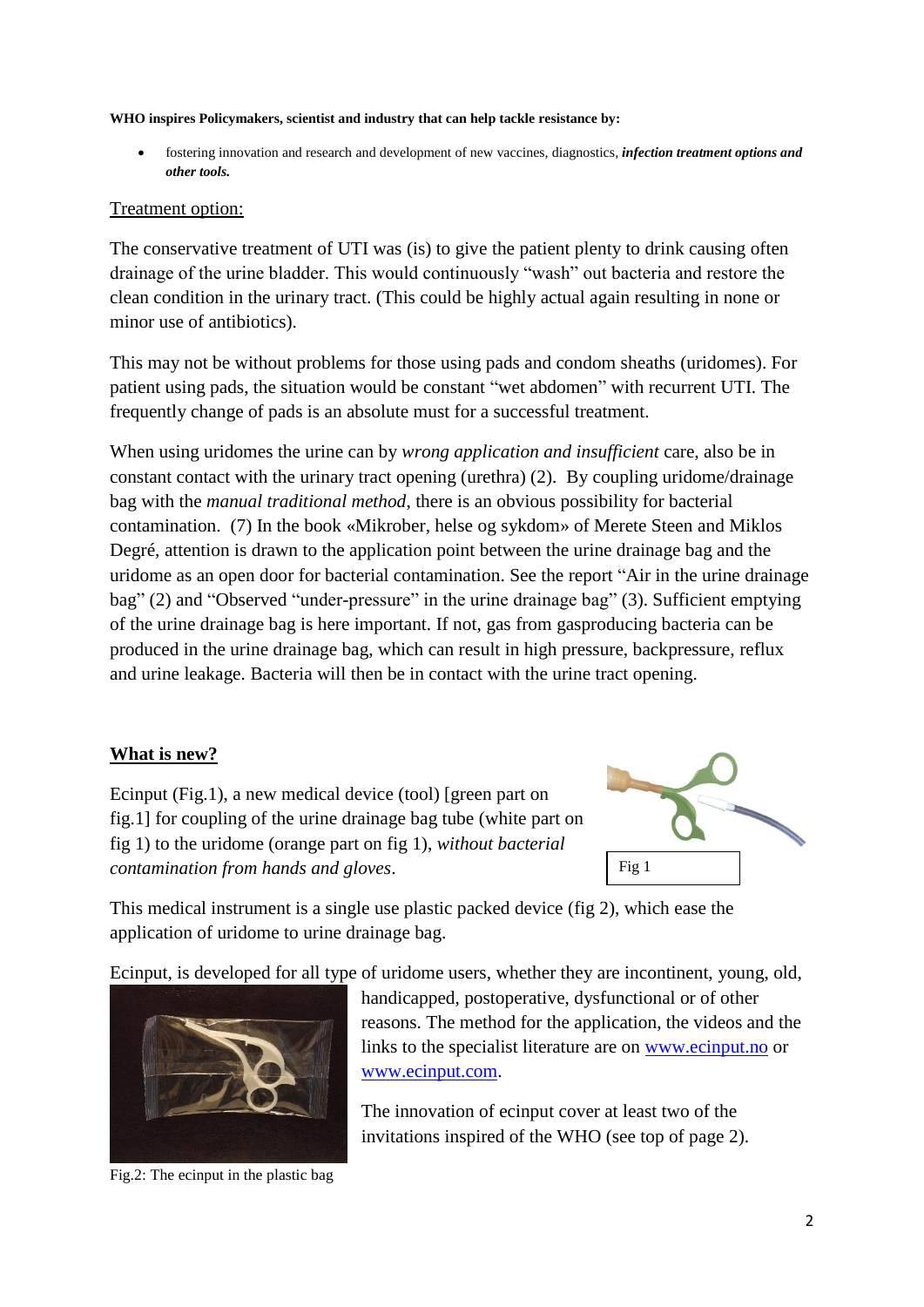#### **WHO inspires Policymakers, scientist and industry that can help tackle resistance by:**

 fostering innovation and research and development of new vaccines, diagnostics*, infection treatment options and other tools.* 

### Treatment option:

The conservative treatment of UTI was (is) to give the patient plenty to drink causing often drainage of the urine bladder. This would continuously "wash" out bacteria and restore the clean condition in the urinary tract. (This could be highly actual again resulting in none or minor use of antibiotics).

This may not be without problems for those using pads and condom sheaths (uridomes). For patient using pads, the situation would be constant "wet abdomen" with recurrent UTI. The frequently change of pads is an absolute must for a successful treatment.

When using uridomes the urine can by *wrong application and insufficient* care, also be in constant contact with the urinary tract opening (urethra) (2). By coupling uridome/drainage bag with the *manual traditional method*, there is an obvious possibility for bacterial contamination. (7) In the book «Mikrober, helse og sykdom» of Merete Steen and Miklos Degré, attention is drawn to the application point between the urine drainage bag and the uridome as an open door for bacterial contamination. See the report "Air in the urine drainage bag" (2) and "Observed "under-pressure" in the urine drainage bag" (3). Sufficient emptying of the urine drainage bag is here important. If not, gas from gasproducing bacteria can be produced in the urine drainage bag, which can result in high pressure, backpressure, reflux and urine leakage. Bacteria will then be in contact with the urine tract opening.

### **What is new?**



Ecinput (Fig.1), a new medical device (tool) [green part on fig.1] for coupling of the urine drainage bag tube (white part on fig 1) to the uridome (orange part on fig 1), *without bacterial contamination from hands and gloves*.

This medical instrument is a single use plastic packed device (fig 2), which ease the application of uridome to urine drainage bag.

Ecinput, is developed for all type of uridome users, whether they are incontinent, young, old,



Fig.2: The ecinput in the plastic bag

handicapped, postoperative, dysfunctional or of other reasons. The method for the application, the videos and the links to the specialist literature are on [www.ecinput.no](http://www.ecinput.no/) or [www.ecinput.com.](http://www.ecinput.com/)

The innovation of ecinput cover at least two of the invitations inspired of the WHO (see top of page 2).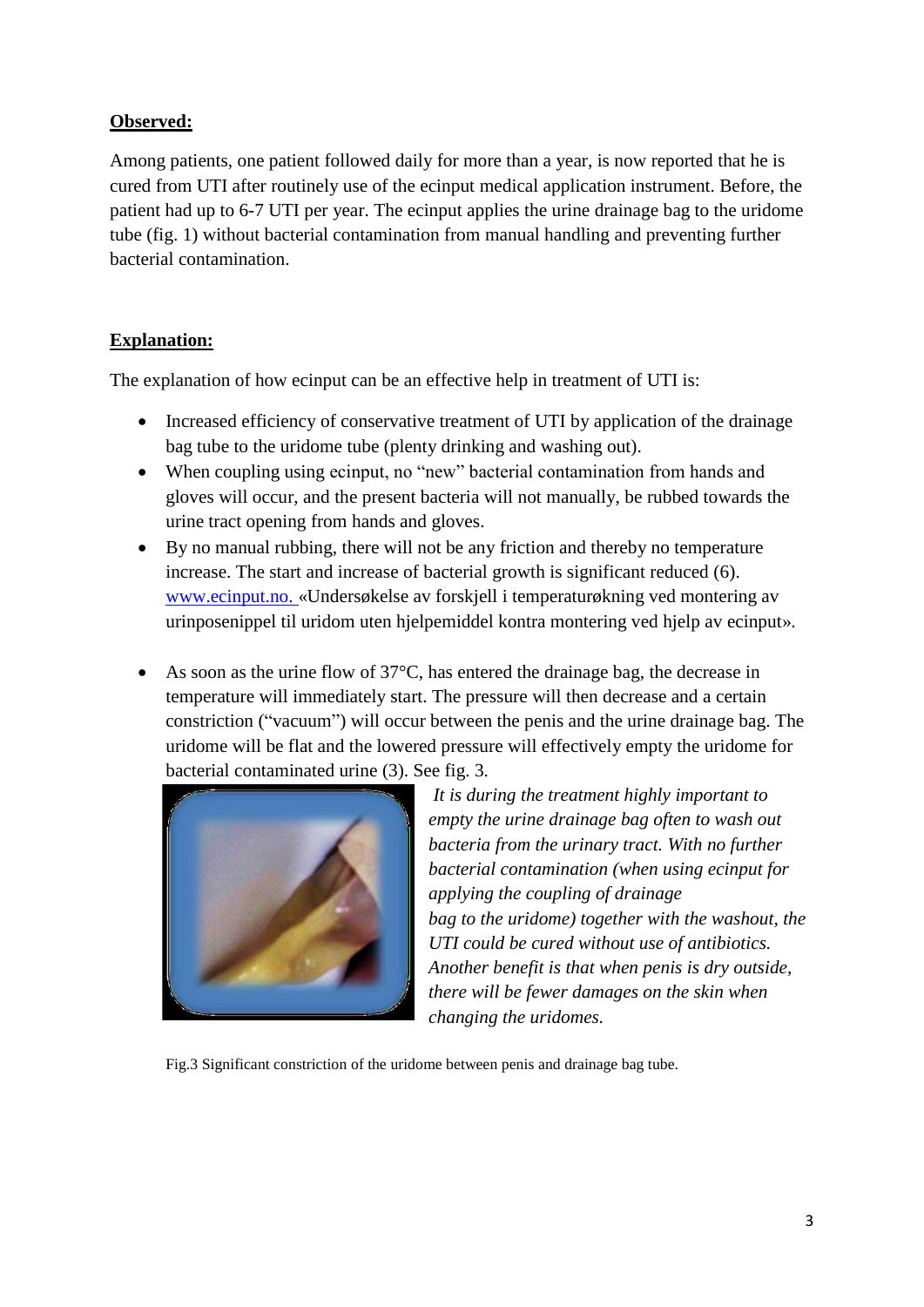## **Observed:**

Among patients, one patient followed daily for more than a year, is now reported that he is cured from UTI after routinely use of the ecinput medical application instrument. Before, the patient had up to 6-7 UTI per year. The ecinput applies the urine drainage bag to the uridome tube (fig. 1) without bacterial contamination from manual handling and preventing further bacterial contamination.

# **Explanation:**

The explanation of how ecinput can be an effective help in treatment of UTI is:

- Increased efficiency of conservative treatment of UTI by application of the drainage bag tube to the uridome tube (plenty drinking and washing out).
- When coupling using ecinput, no "new" bacterial contamination from hands and gloves will occur, and the present bacteria will not manually, be rubbed towards the urine tract opening from hands and gloves.
- By no manual rubbing, there will not be any friction and thereby no temperature increase. The start and increase of bacterial growth is significant reduced (6). [www.ecinput.no.](http://www.ecinput.no/) «Undersøkelse av forskjell i temperaturøkning ved montering av urinposenippel til uridom uten hjelpemiddel kontra montering ved hjelp av ecinput».
- As soon as the urine flow of 37°C, has entered the drainage bag, the decrease in temperature will immediately start. The pressure will then decrease and a certain constriction ("vacuum") will occur between the penis and the urine drainage bag. The uridome will be flat and the lowered pressure will effectively empty the uridome for bacterial contaminated urine (3). See fig. 3.



*It is during the treatment highly important to empty the urine drainage bag often to wash out bacteria from the urinary tract. With no further bacterial contamination (when using ecinput for applying the coupling of drainage bag to the uridome) together with the washout, the UTI could be cured without use of antibiotics. Another benefit is that when penis is dry outside, there will be fewer damages on the skin when changing the uridomes.*

Fig.3 Significant constriction of the uridome between penis and drainage bag tube.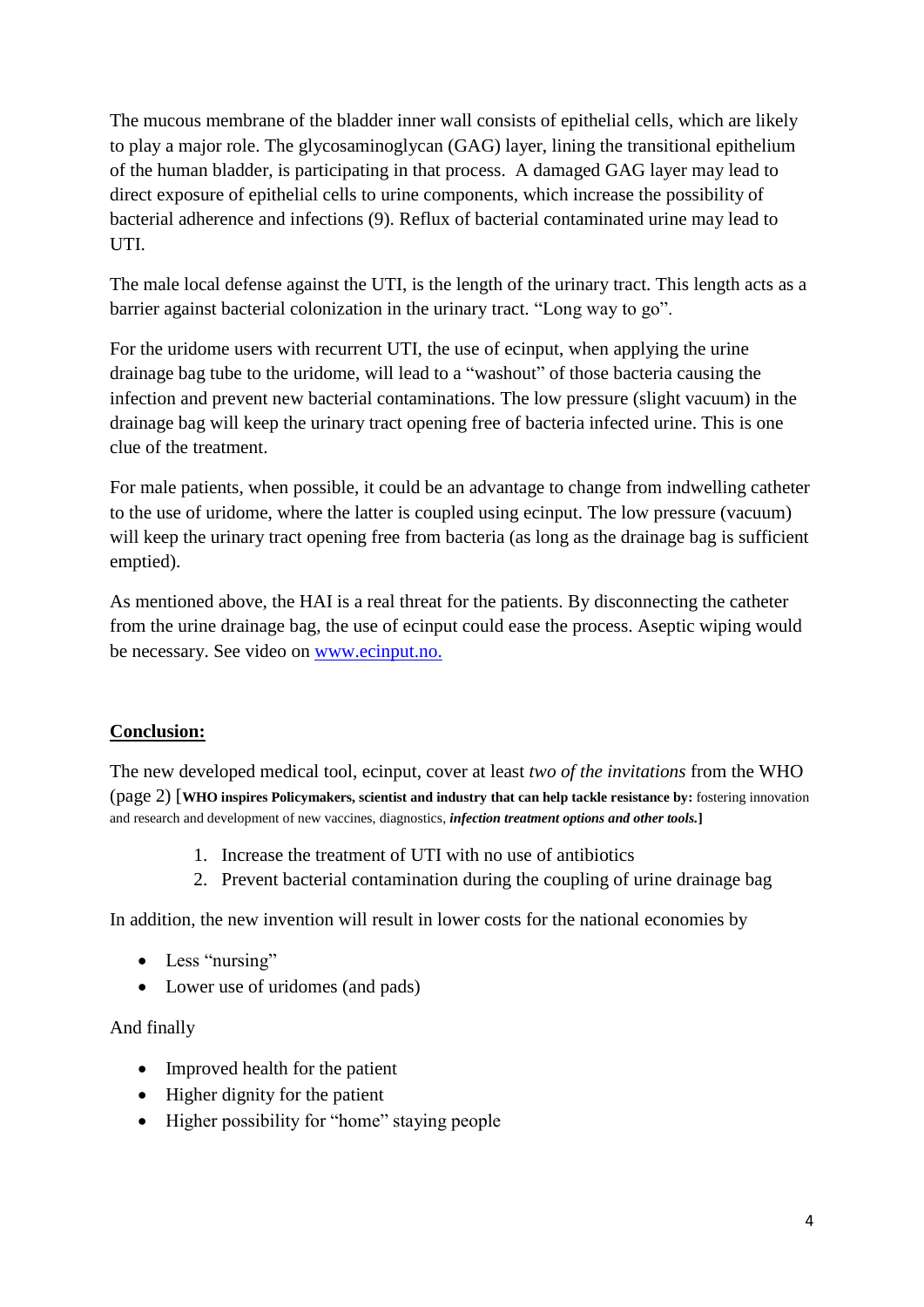The mucous membrane of the bladder inner wall consists of epithelial cells, which are likely to play a major role. The glycosaminoglycan (GAG) layer, lining the transitional epithelium of the human bladder, is participating in that process. A damaged GAG layer may lead to direct exposure of epithelial cells to urine components, which increase the possibility of bacterial adherence and infections (9). Reflux of bacterial contaminated urine may lead to UTI.

The male local defense against the UTI, is the length of the urinary tract. This length acts as a barrier against bacterial colonization in the urinary tract. "Long way to go".

For the uridome users with recurrent UTI, the use of ecinput, when applying the urine drainage bag tube to the uridome, will lead to a "washout" of those bacteria causing the infection and prevent new bacterial contaminations. The low pressure (slight vacuum) in the drainage bag will keep the urinary tract opening free of bacteria infected urine. This is one clue of the treatment.

For male patients, when possible, it could be an advantage to change from indwelling catheter to the use of uridome, where the latter is coupled using ecinput. The low pressure (vacuum) will keep the urinary tract opening free from bacteria (as long as the drainage bag is sufficient emptied).

As mentioned above, the HAI is a real threat for the patients. By disconnecting the catheter from the urine drainage bag, the use of ecinput could ease the process. Aseptic wiping would be necessary. See video on [www.ecinput.no.](http://www.ecinput.no/)

# **Conclusion:**

The new developed medical tool, ecinput, cover at least *two of the invitations* from the WHO (page 2) [**WHO inspires Policymakers, scientist and industry that can help tackle resistance by:** fostering innovation and research and development of new vaccines, diagnostics*, infection treatment options and other tools.***]**

- 1. Increase the treatment of UTI with no use of antibiotics
- 2. Prevent bacterial contamination during the coupling of urine drainage bag

In addition, the new invention will result in lower costs for the national economies by

- Less "nursing"
- Lower use of uridomes (and pads)

### And finally

- Improved health for the patient
- $\bullet$  Higher dignity for the patient
- Higher possibility for "home" staying people